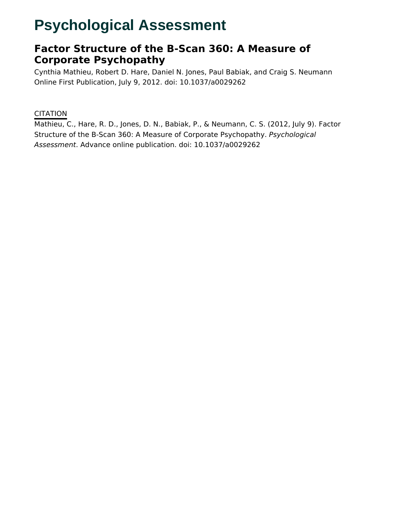# **Psychological Assessment**

## **Factor Structure of the B-Scan 360: A Measure of Corporate Psychopathy**

Cynthia Mathieu, Robert D. Hare, Daniel N. Jones, Paul Babiak, and Craig S. Neumann Online First Publication, July 9, 2012. doi: 10.1037/a0029262

### **CITATION**

Mathieu, C., Hare, R. D., Jones, D. N., Babiak, P., & Neumann, C. S. (2012, July 9). Factor Structure of the B-Scan 360: A Measure of Corporate Psychopathy. Psychological Assessment. Advance online publication. doi: 10.1037/a0029262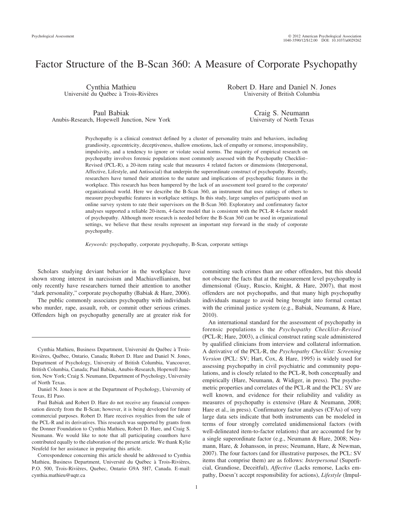## Factor Structure of the B-Scan 360: A Measure of Corporate Psychopathy

Cynthia Mathieu Université du Québec à Trois-Rivières Robert D. Hare and Daniel N. Jones University of British Columbia

Paul Babiak Anubis-Research, Hopewell Junction, New York

Craig S. Neumann University of North Texas

Psychopathy is a clinical construct defined by a cluster of personality traits and behaviors, including grandiosity, egocentricity, deceptiveness, shallow emotions, lack of empathy or remorse, irresponsibility, impulsivity, and a tendency to ignore or violate social norms. The majority of empirical research on psychopathy involves forensic populations most commonly assessed with the Psychopathy Checklist– Revised (PCL-R), a 20-item rating scale that measures 4 related factors or dimensions (Interpersonal, Affective, Lifestyle, and Antisocial) that underpin the superordinate construct of psychopathy. Recently, researchers have turned their attention to the nature and implications of psychopathic features in the workplace. This research has been hampered by the lack of an assessment tool geared to the corporate/ organizational world. Here we describe the B-Scan 360, an instrument that uses ratings of others to measure psychopathic features in workplace settings. In this study, large samples of participants used an online survey system to rate their supervisors on the B-Scan 360. Exploratory and confirmatory factor analyses supported a reliable 20-item, 4-factor model that is consistent with the PCL-R 4-factor model of psychopathy. Although more research is needed before the B-Scan 360 can be used in organizational settings, we believe that these results represent an important step forward in the study of corporate psychopathy.

*Keywords:* psychopathy, corporate psychopathy, B-Scan, corporate settings

Scholars studying deviant behavior in the workplace have shown strong interest in narcissism and Machiavellianism, but only recently have researchers turned their attention to another "dark personality," corporate psychopathy (Babiak & Hare, 2006).

The public commonly associates psychopathy with individuals who murder, rape, assault, rob, or commit other serious crimes. Offenders high on psychopathy generally are at greater risk for

1

committing such crimes than are other offenders, but this should not obscure the facts that at the measurement level psychopathy is dimensional (Guay, Ruscio, Knight, & Hare, 2007), that most offenders are not psychopaths, and that many high psychopathy individuals manage to avoid being brought into formal contact with the criminal justice system (e.g., Babiak, Neumann, & Hare, 2010).

An international standard for the assessment of psychopathy in forensic populations is the *Psychopathy Checklist–Revised* (PCL-R; Hare, 2003), a clinical construct rating scale administered by qualified clinicians from interview and collateral information. A derivative of the PCL-R, the *Psychopathy Checklist: Screening Version* (PCL: SV; Hart, Cox, & Hare, 1995) is widely used for assessing psychopathy in civil psychiatric and community populations, and is closely related to the PCL-R, both conceptually and empirically (Hare, Neumann, & Widiger, in press). The psychometric properties and correlates of the PCL-R and the PCL: SV are well known, and evidence for their reliability and validity as measures of psychopathy is extensive (Hare & Neumann, 2008; Hare et al., in press). Confirmatory factor analyses (CFAs) of very large data sets indicate that both instruments can be modeled in terms of four strongly correlated unidimensional factors (with well-delineated item-to-factor relations) that are accounted for by a single superordinate factor (e.g., Neumann & Hare, 2008; Neumann, Hare, & Johansson, in press; Neumann, Hare, & Newman, 2007). The four factors (and for illustrative purposes, the PCL: SV items that comprise them) are as follows: *Interpersonal* (Superficial, Grandiose, Deceitful), *Affective* (Lacks remorse, Lacks empathy, Doesn't accept responsibility for actions), *Lifestyle* (Impul-

Cynthia Mathieu, Business Department, Université du Québec à Trois-Rivières, Québec, Ontario, Canada; Robert D. Hare and Daniel N. Jones, Department of Psychology, University of British Columbia, Vancouver, British Columbia, Canada; Paul Babiak, Anubis-Research, Hopewell Junction, New York; Craig S. Neumann, Department of Psychology, University of North Texas.

Daniel N. Jones is now at the Department of Psychology, University of Texas, El Paso.

Paul Babiak and Robert D. Hare do not receive any financial compensation directly from the B-Scan; however, it is being developed for future commercial purposes. Robert D. Hare receives royalties from the sale of the PCL-R and its derivatives. This research was supported by grants from the Donner Foundation to Cynthia Mathieu, Robert D. Hare, and Craig S. Neumann. We would like to note that all participating coauthors have contributed equally to the elaboration of the present article. We thank Kylie Neufeld for her assistance in preparing this article.

Correspondence concerning this article should be addressed to Cynthia Mathieu, Business Department, Université du Québec à Trois-Rivières, P.O. 500, Trois-Rivières, Quebec, Ontario G9A 5H7, Canada. E-mail: cynthia.mathieu@uqtr.ca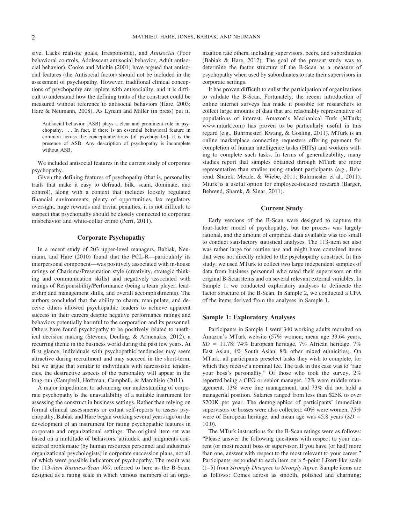sive, Lacks realistic goals, Irresponsible), and *Antisocial* (Poor behavioral controls, Adolescent antisocial behavior, Adult antisocial behavior). Cooke and Michie (2001) have argued that antisocial features (the Antisocial factor) should not be included in the assessment of psychopathy. However, traditional clinical conceptions of psychopathy are replete with antisociality, and it is difficult to understand how the defining traits of the construct could be measured without reference to antisocial behaviors (Hare, 2003; Hare & Neumann, 2008). As Lynam and Miller (in press) put it,

Antisocial behavior [ASB] plays a clear and prominent role in psychopathy. . . . In fact, if there is an essential behavioral feature in common across the conceptualizations [of psychopathy], it is the presence of ASB. Any description of psychopathy is incomplete without ASB.

We included antisocial features in the current study of corporate psychopathy.

Given the defining features of psychopathy (that is, personality traits that make it easy to defraud, bilk, scam, dominate, and control), along with a context that includes loosely regulated financial environments, plenty of opportunities, lax regulatory oversight, huge rewards and trivial penalties, it is not difficult to suspect that psychopathy should be closely connected to corporate misbehavior and white-collar crime (Perri, 2011).

#### **Corporate Psychopathy**

In a recent study of 203 upper-level managers, Babiak, Neumann, and Hare (2010) found that the PCL-R—particularly its interpersonal component—was positively associated with in-house ratings of Charisma/Presentation style (creativity, strategic thinking and communication skills) and negatively associated with ratings of Responsibility/Performance (being a team player, leadership and management skills, and overall accomplishments). The authors concluded that the ability to charm, manipulate, and deceive others allowed psychopathic leaders to achieve apparent success in their careers despite negative performance ratings and behaviors potentially harmful to the corporation and its personnel. Others have found psychopathy to be positively related to unethical decision making (Stevens, Deuling, & Armenakis, 2012), a recurring theme in the business world during the past few years. At first glance, individuals with psychopathic tendencies may seem attractive during recruitment and may succeed in the short-term, but we argue that similar to individuals with narcissistic tendencies, the destructive aspects of the personality will appear in the long-run (Campbell, Hoffman, Campbell, & Marchisio (2011).

A major impediment to advancing our understanding of corporate psychopathy is the unavailability of a suitable instrument for assessing the construct in business settings. Rather than relying on formal clinical assessments or extant self-reports to assess psychopathy, Babiak and Hare began working several years ago on the development of an instrument for rating psychopathic features in corporate and organizational settings. The original item set was based on a multitude of behaviors, attitudes, and judgments considered problematic (by human resources personnel and industrial/ organizational psychologists) in corporate succession plans, not all of which were possible indicators of psychopathy. The result was the 113-*item Business-Scan 360*, referred to here as the B-Scan, designed as a rating scale in which various members of an organization rate others, including supervisors, peers, and subordinates (Babiak & Hare, 2012). The goal of the present study was to determine the factor structure of the B-Scan as a measure of psychopathy when used by subordinates to rate their supervisors in corporate settings.

It has proven difficult to enlist the participation of organizations to validate the B-Scan. Fortunately, the recent introduction of online internet surveys has made it possible for researchers to collect large amounts of data that are reasonably representative of populations of interest. Amazon's Mechanical Turk (MTurk; www.mturk.com) has proven to be particularly useful in this regard (e.g., Buhrmester, Kwang, & Gosling, 2011). MTurk is an online marketplace connecting requesters offering payment for completion of human intelligence tasks (HITs) and workers willing to complete such tasks. In terms of generalizability, many studies report that samples obtained through MTurk are more representative than studies using student participants (e.g., Behrend, Sharek, Meade, & Wiebe, 2011; Buhrmester et al., 2011). Mturk is a useful option for employee-focused research (Barger, Behrend, Sharek, & Sinar, 2011).

#### **Current Study**

Early versions of the B-Scan were designed to capture the four-factor model of psychopathy, but the process was largely rational, and the amount of empirical data available was too small to conduct satisfactory statistical analyses. The 113-item set also was rather large for routine use and might have contained items that were not directly related to the psychopathy construct. In this study, we used MTurk to collect two large independent samples of data from business personnel who rated their supervisors on the original B-Scan items and on several relevant external variables. In Sample 1, we conducted exploratory analyses to delineate the factor structure of the B-Scan. In Sample 2, we conducted a CFA of the items derived from the analyses in Sample 1.

#### **Sample 1: Exploratory Analyses**

Participants in Sample 1 were 340 working adults recruited on Amazon's MTurk website (57% women; mean age 33.64 years,  $SD = 11.78$ ; 74% European heritage, 7% African heritage, 7% East Asian, 4% South Asian, 8% other mixed ethnicities). On MTurk, all participants preselect tasks they wish to complete, for which they receive a nominal fee. The task in this case was to "rate your boss's personality." Of those who took the survey, 2% reported being a CEO or senior manager, 12% were middle management, 13% were line management, and 73% did not hold a managerial position. Salaries ranged from less than \$25K to over \$200K per year. The demographics of participants' immediate supervisors or bosses were also collected: 40% were women, 75% were of European heritage, and mean age was 45.8 years (*SD* 10.0).

The MTurk instructions for the B-Scan ratings were as follows: "Please answer the following questions with respect to your current (or most recent) boss or supervisor. If you have (or had) more than one, answer with respect to the most relevant to your career." Participants responded to each item on a 5-point Likert-like scale (1–5) from *Strongly Disagree* to *Strongly Agree*. Sample items are as follows: Comes across as smooth, polished and charming;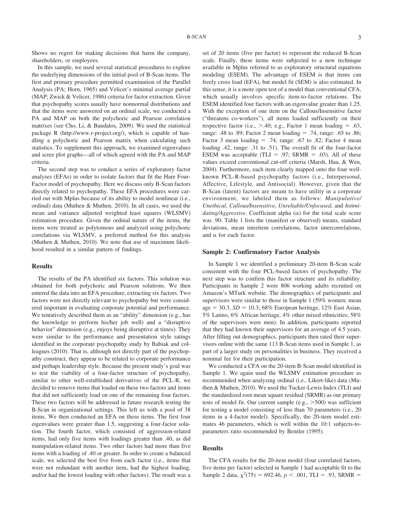Shows no regret for making decisions that harm the company, shareholders, or employees.

In this sample, we used several statistical procedures to explore the underlying dimensions of the initial pool of B-Scan items. The first and primary procedure permitted examination of the Parallel Analysis (PA; Horn, 1965) and Velicer's minimal average partial (MAP; Zwick & Velicer, 1986**)** criteria for factor extraction. Given that psychopathy scores usually have nonnormal distributions and that the items were answered on an ordinal scale, we conducted a PA and MAP on both the polychoric and Pearson correlation matrixes (see Cho, Li, & Bandalos, 2009). We used the statistical package R (http://www.r-project.org/), which is capable of handling a polychoric and Pearson matrix when calculating such statistics. To supplement this approach, we examined eigenvalues and scree plot graphs—all of which agreed with the PA and MAP criteria.

The second step was to conduct a series of exploratory factor analyses (EFAs) in order to isolate factors that fit the Hare Four-Factor model of psychopathy. Here we discuss only B-Scan factors directly related to psychopathy. These EFA procedures were carried out with Mplus because of its ability to model nonlinear (i.e., ordinal) data (Muthen & Muthen, 2010). In all cases, we used the mean and variance adjusted weighted least squares (WLSMV) estimation procedure. Given the ordinal nature of the items, the items were treated as polytomous and analyzed using polychoric correlations via WLSMV, a preferred method for this analysis (Muthen & Muthen, 2010). We note that use of maximum likelihood resulted in a similar pattern of findings.

#### **Results**

The results of the PA identified six factors. This solution was obtained for both polychoric and Pearson solutions. We then entered the data into an EFA procedure, extracting six factors. Two factors were not directly relevant to psychopathy but were considered important in evaluating corporate potential and performance. We tentatively described them as an "ability" dimension (e.g., has the knowledge to perform his/her job well) and a "disruptive behavior" dimension (e.g., enjoys being disruptive at times). They were similar to the performance and presentation style ratings identified in the corporate psychopathy study by Babiak and colleagues (2010). That is, although not directly part of the psychopathy construct, they appear to be related to corporate performance and perhaps leadership style. Because the present study's goal was to test the viability of a four-factor structure of psychopathy, similar to other well-established derivatives of the PCL-R, we decided to remove items that loaded on these two factors and items that did not sufficiently load on one of the remaining four factors. These two factors will be addressed in future research testing the B-Scan in organizational settings. This left us with a pool of 38 items. We then conducted an EFA on these items. The first four eigenvalues were greater than 1.5, suggesting a four-factor solution. The fourth factor, which consisted of aggression-related items, had only five items with loadings greater than .40, as did manipulation-related items. Two other factors had more than five items with a loading of .40 or greater. In order to create a balanced scale, we selected the best five from each factor (i.e., items that were not redundant with another item, had the highest loading, and/or had the lowest loading with other factors). The result was a

set of 20 items (five per factor) to represent the reduced B-Scan scale. Finally, these items were subjected to a new technique available in Mplus referred to as exploratory structural equations modeling (ESEM). The advantage of ESEM is that items can freely cross load (EFA), but model fit (SEM) is also estimated. In this sense, it is a more open test of a model than conventional CFA, which usually involves specific item-to-factor relations. The ESEM identified four factors with an eigenvalue greater than 1.25. With the exception of one item on the Callous/Insensitive factor ("threatens co-workers"), all items loaded sufficiently on their respective factor (i.e.,  $> 0.40$ ; e.g., Factor 1 mean loading = .63, range: .48 to .89; Factor 2 mean loading  $= .74$ , range: .65 to .86; Factor 3 mean loading  $= .74$ , range: .67 to .82; Factor 4 mean loading .42, range: .31 to .51). The overall fit of the four-factor ESEM was acceptable (TLI = .97; SRMR = .03). All of these values exceed conventional cut-off criteria (Marsh, Hau, & Wen, 2004). Furthermore, each item clearly mapped onto the four wellknown PCL-R-based psychopathy factors (i.e., Interpersonal, Affective, Lifestyle, and Antisocial). However, given that the B-Scan (latent) factors are meant to have utility in a corporate environment, we labeled them as follows: *Manipulative/ Unethical*, *Callous/Insensitive*, *Unreliable/Unfocused*, and *Intimidating/Aggressive.* Coefficient alpha  $(\alpha)$  for the total scale score was .90. Table 1 lists the (manifest or observed) means, standard deviations, mean interitem correlations, factor intercorrelations, and  $\alpha$  for each factor.

#### **Sample 2: Confirmatory Factor Analysis**

In Sample 1 we identified a preliminary 20-item B-Scan scale consistent with the four PCL-based factors of psychopathy. The next step was to confirm this factor structure and its reliability. Participants in Sample 2 were 806 working adults recruited on Amazon's MTurk website. The demographics of participants and supervisors were similar to those in Sample 1 (59% women; mean age  $= 30.3$ ,  $SD = 10.3$ ; 68% European heritage, 12% East Asian, 5% Latino, 6% African heritage, 4% other mixed ethnicities; 58% of the supervisors were men). In addition, participants reported that they had known their supervisors for an average of 4.5 years. After filling out demographics, participants then rated their supervisors online with the same 113 B-Scan items used in Sample 1, as part of a larger study on personalities in business. They received a nominal fee for their participation.

We conducted a CFA on the 20-item B-Scan model identified in Sample 1. We again used the WLSMV estimation procedure as recommended when analyzing ordinal (i.e., Likert-like) data (Muthen & Muthen, 2010). We used the Tucker-Lewis Index (TLI) and the standardized root mean square residual (SRMR) as our primary tests of model fit. Our current sample (e.g., >500) was sufficient for testing a model consisting of less than 70 parameters (i.e., 20 items in a 4-factor model). Specifically, the 20-item model estimates 46 parameters, which is well within the 10:1 subjects-toparameters ratio recommended by Bentler (1995).

#### **Results**

The CFA results for the 20-item model (four correlated factors, five items per factor) selected in Sample 1 had acceptable fit to the Sample 2 data,  $\chi^2(75) = 692.46$ ,  $p < .001$ , TLI = .93, SRMR =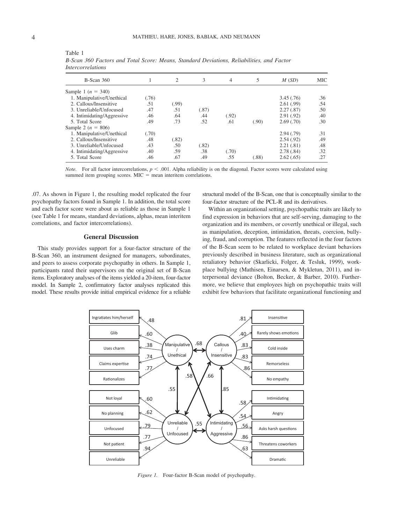|       | $\overline{c}$ | 3     | 4     | 5     | M(SD)      | MIC |
|-------|----------------|-------|-------|-------|------------|-----|
|       |                |       |       |       |            |     |
| (.76) |                |       |       |       | 3.45(.76)  | .36 |
| .51   | (.99)          |       |       |       | 2.61(.99)  | .54 |
| .47   | .51            | (.87) |       |       | 2.27(.87)  | .50 |
| .46   | .64            | .44   | (.92) |       | 2.91(.92)  | .40 |
| .49   | .73            | .52   | .61   | (.90) | 2.69(0.70) | .30 |
|       |                |       |       |       |            |     |
| (.70) |                |       |       |       | 2.94(0.79) | .31 |
| .48   | (.82)          |       |       |       | 2.54(0.92) | .49 |
| .43   | .50            | (.82) |       |       | 2.21(.81)  | .48 |
| .40   | .59            | .38   | (.70) |       | 2.78(.84)  | .32 |
| .46   | .67            | .49   | .55   | (.88) | 2.62(.65)  | .27 |
|       |                |       |       |       |            |     |

Table 1 *B-Scan 360 Factors and Total Score: Means, Standard Deviations, Reliabilities, and Factor Intercorrelations*

*Note.* For all factor intercorrelations,  $p < .001$ . Alpha reliability is on the diagonal. Factor scores were calculated using summed item grouping scores.  $MIC =$  mean interitem correlations.

.07. As shown in Figure 1, the resulting model replicated the four psychopathy factors found in Sample 1. In addition, the total score and each factor score were about as reliable as those in Sample 1 (see Table 1 for means, standard deviations, alphas, mean interitem correlations, and factor intercorrelations).

#### **General Discussion**

This study provides support for a four-factor structure of the B-Scan 360, an instrument designed for managers, subordinates, and peers to assess corporate psychopathy in others. In Sample 1, participants rated their supervisors on the original set of B-Scan items. Exploratory analyses of the items yielded a 20-item, four-factor model. In Sample 2, confirmatory factor analyses replicated this model. These results provide initial empirical evidence for a reliable

structural model of the B-Scan, one that is conceptually similar to the four-factor structure of the PCL-R and its derivatives.

Within an organizational setting, psychopathic traits are likely to find expression in behaviors that are self-serving, damaging to the organization and its members, or covertly unethical or illegal, such as manipulation, deception, intimidation, threats, coercion, bullying, fraud, and corruption. The features reflected in the four factors of the B-Scan seem to be related to workplace deviant behaviors previously described in business literature, such as organizational retaliatory behavior (Skarlicki, Folger, & Tesluk, 1999), workplace bullying (Mathisen, Einarsen, & Mykletun, 2011), and interpersonal deviance (Bolton, Becker, & Barber, 2010). Furthermore, we believe that employees high on psychopathic traits will exhibit few behaviors that facilitate organizational functioning and



*Figure 1.* Four-factor B-Scan model of psychopathy.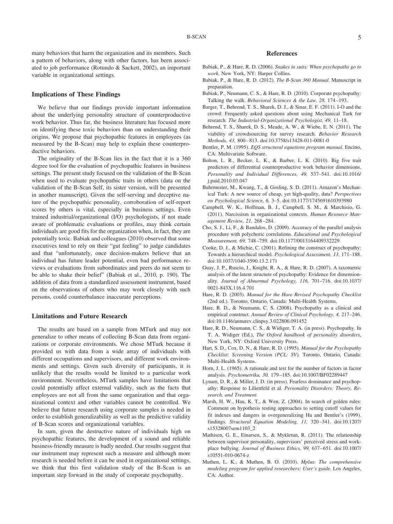many behaviors that harm the organization and its members. Such a pattern of behaviors, along with other factors, has been associated to job performance (Rotundo & Sackett, 2002), an important variable in organizational settings.

#### **Implications of These Findings**

We believe that our findings provide important information about the underlying personality structure of counterproductive work behavior. Thus far, the business literature has focused more on identifying these toxic behaviors than on understanding their origins. We propose that psychopathic features in employees (as measured by the B-Scan) may help to explain these counterproductive behaviors.

The originality of the B-Scan lies in the fact that it is a 360 degree tool for the evaluation of psychopathic features in business settings. The present study focused on the validation of the B-Scan when used to evaluate psychopathic traits in others (data on the validation of the B-Scan Self, its sister version, will be presented in another manuscript). Given the self-serving and deceptive nature of the psychopathic personality, corroboration of self-report scores by others is vital, especially in business settings. Even trained industrial/organizational (I/O) psychologists, if not made aware of problematic evaluations or profiles, may think certain individuals are good fits for the organization when, in fact, they are potentially toxic. Babiak and colleagues (2010) observed that some executives tend to rely on their "gut feeling" to judge candidates and that "unfortunately, once decision-makers believe that an individual has future leader potential, even bad performance reviews or evaluations from subordinates and peers do not seem to be able to shake their belief" (Babiak et al., 2010, p. 190). The addition of data from a standardized assessment instrument, based on the observations of others who may work closely with such persons, could counterbalance inaccurate perceptions.

#### **Limitations and Future Research**

The results are based on a sample from MTurk and may not generalize to other means of collecting B-Scan data from organizations or corporate environments. We chose MTurk because it provided us with data from a wide array of individuals with different occupations and supervisors, and different work environments and settings. Given such diversity of participants, it is unlikely that the results would be limited to a particular work environment. Nevertheless, MTurk samples have limitations that could potentially affect external validity, such as the facts that employees are not all from the same organization and that organizational context and other variables cannot be controlled. We believe that future research using corporate samples is needed in order to establish generalizability as well as the predictive validity of B-Scan scores and organizational variables.

In sum, given the destructive nature of individuals high on psychopathic features, the development of a sound and reliable business-friendly measure is badly needed. Our results suggest that our instrument may represent such a measure and although more research is needed before it can be used in organizational settings, we think that this first validation study of the B-Scan is an important step forward in the study of corporate psychopathy.

#### **References**

- Babiak, P., & Hare, R. D. (2006). *Snakes in suits: When psychopaths go to work.* New York, NY: Harper Collins.
- Babiak, P., & Hare, R. D. (2012). *The B-Scan 360 Manual.* Manuscript in preparation.
- Babiak, P., Neumann, C. S., & Hare, R. D. (2010). Corporate psychopathy: Talking the walk. *Behavioral Sciences & the Law, 28,* 174 –193.
- Barger, T., Behrend, T. S., Sharek, D. J., & Sinar, E. F. (2011). I-O and the crowd: Frequently asked questions about using Mechanical Turk for research. *The Industrial-Organizational Psychologist, 49,* 11–18.
- Behrend, T. S., Sharek, D. S., Meade, A. W., & Wiebe, E. N. (2011). The viability of crowdsourcing for survey research. *Behavior Research Methods, 43,* 800 – 813. doi:10.3758/s13428-011-0081-0
- Bentler, P. M. (1995). *EQS structural equations program manual.* Encino, CA: Multivariate Software.
- Bolton, L. R., Becker, L. K., & Barber, L. K. (2010). Big five trait predictors of differential counterproductive work behavior dimensions. *Personality and Individual Differences, 49,* 537–541. doi:10.1016/ j.paid.2010.03.047
- Buhrmester, M., Kwang, T., & Gosling, S. D. (2011). Amazon's Mechanical Turk: A new source of cheap, yet high-quality, data? *Perspectives on Psychological Science, 6,* 3–5. doi:10.1177/1745691610393980
- Campbell, W. K., Hoffman, B. J., Campbell, S. M., & Marchisio, G. (2011). Narcissism in organizational contexts. *Human Resource Management Review, 21,* 268 –284.
- Cho, S. J., Li, F., & Bandalos, D. (2009). Accuracy of the parallel analysis procedure with polychoric correlations. *Educational and Psychological Measurement, 69,* 748 –759. doi:10.1177/0013164409332229
- Cooke, D. J., & Michie, C. (2001). Refining the construct of psychopathy: Towards a hierarchical model. *Psychological Assessment, 13,* 171–188. doi:10.1037/1040-3590.13.2.171
- Guay, J. P., Ruscio, J., Knight, R. A., & Hare, R. D. (2007). A taxometric analysis of the latent structure of psychopathy: Evidence for dimensionality. *Journal of Abnormal Psychology, 116,* 701–716. doi:10.1037/ 0021-843X.116.4.701
- Hare, R. D. (2003). *Manual for the Hare Revised Psychopathy Checklist* (2nd ed.). Toronto, Ontario, Canada: Multi-Health Systems.
- Hare, R. D., & Neumann, C. S. (2008). Psychopathy as a clinical and empirical construct. *Annual Review of Clinical Psychology, 4,* 217–246. doi:10.1146/annurev.clinpsy.3.022806.091452
- Hare, R. D., Neumann, C. S., & Widiger, T. A. (in press). Psychopathy. In T. A. Widiger (Ed.), *The Oxford handbook of personality disorders*, New York, NY: Oxford University Press.
- Hart, S. D., Cox, D. N., & Hare, R. D. (1995). *Manual for the Psychopathy Checklist: Screening Version (PCL: SV).* Toronto, Ontario, Canada: Multi-Health Systems.
- Horn, J. L. (1965). A rationale and test for the number of factors in factor analysis. *Psychometrika, 30,* 179 –185. doi:10.1007/BF02289447
- Lynam, D. R., & Miller, J. D. (in press). Fearless dominance and psychopathy: Response to Lilienfeld et al. *Personality Disorders: Theory, Research, and Treatment.*
- Marsh, H. W., Hau, K. T., & Wen, Z. (2004). In search of golden rules: Comment on hypothesis testing approaches to setting cutoff values for fit indexes and dangers in overgeneralizing Hu and Bentler's (1999). findings. *Structural Equation Modeling, 11,* 320 –341. doi:10.1207/ s15328007sem1103\_2
- Mathisen, G. E., Einarsen, S., & Mykletun, R. (2011). The relationship between supervisor personality, supervisors' perceived stress and workplace bullying. *Journal of Business Ethics*, 99, 637-651. doi:10.1007/ s10551-010-0674-z
- Muthen, L. K., & Muthen, B. O. (2010). *Mplus: The comprehensive modeling program for applied researchers: User's guide.* Los Angeles,  $CA:$  Author.